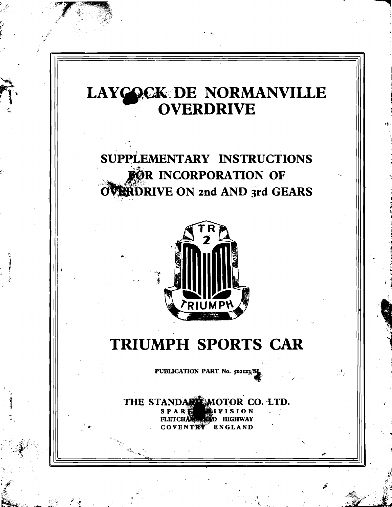# LAYCOCK DE NORMANVILLE<br>OVERDRIVE

SUPPLEMENTARY INSTRUCTIONS FOR INCORPORATION OF OVERDRIVE ON 2nd AND 3rd GEARS



## TRIUMPH SPORTS CAR

PUBLICATION PART No. 502123/S

THE STANDAR MOTOR CO. LTD. SPARE **HIGHWAY** ENGLAND VENTRY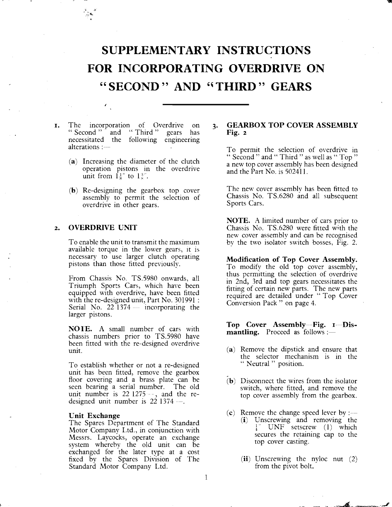### **SUPPLEMENTARY INSTRUCTIONS FOR INCORPORATING OVERDRIVE ON**  '' **SECOND** " **AND '(THIRD** " **GEARS**

- **I.** The incorporation of Overdrive on **3.** <br>
"Second " and " Third " gears has necessitated the following engineering alterations :-
	- **(a)** Increasing the diameter of the clutch operation pistons in the overdrive unit from  $\frac{1}{8}$ " to  $\frac{1}{8}$ ".
	- **(b)** Re-designing the gearbox top cover assembly to permit the selection of overdrive in other gears.

#### **2. OVERDRIVE UNIT**

To enable the unit to transmit the maximum available torque in the lower gears, it is necessary to use larger clutch operating pistons than those fitted previously.

From Chassis No. TS.5980 onwards, all Triumph Sports Cars, which have been equipped with overdrive, have been fitted with the re-designed unit, Part No. 301991 : Serial No.  $22\overline{1}374$  - incorporating the larger pistons.

**NOTE. A** small number of cars with chassis numbers prior to TS.5980 have been fitted with the re-designed overdrive unit.

To establish whether or not a re-designed unit has been fitted, remove the gearbox floor covering and a brass plate can be seen bearing a serial number. The old unit number is  $22\frac{1275}{...}$ , and the redesigned unit number is  $22$  1374  $-$ .

#### **Unit Exchange**

The Spares Department of The Standard Motor Company I,td., in conjunction with Messrs. Laycocks, operate an exchange system whereby the old unit can be exchanged for the later type at a cost fixed by the Spares Division of The Standard Motor Company Ltd.

#### **GEARBOX TOP COVER ASSEMBLY Fig. 2**

To permit the selection of overdrive in " Second " and " Third " as well as " Top " a new top cover assembly has been designed and the Part No. is 50241 1.

The new cover assembly has been fitted to Chassis No. TS.6280 and all subsequent Sports Cars.

**NOTE. A** limited number of cars prior to Chassis No. TS.6280 were fitted with the new cover assembly and can be recognised by the two isolator switch bosses, Fig. 2.

**Modification of Top Cover Assembly.**  To modify the old top cover assembly, thus permitting the selection of overdrive in 2nd, 3rd and top gears necessitates the fitting of certain new parts. The new parts required are detailed under " Top Cover Conversion Pack " on page 4.

Top Cover Assembly-Fig. I-Dis**mantling.** Proceed as follows :-

- **(a)** Remove the dipstick and ensure that the selector mechanism is in the " Neutral " position.
- **(b)** Disconnect the wires from the isolator switch, where fitted, and remove the top cover assembly from the gearbox.
- $(c)$  Remove the change speed lever by :--**(i)** Unscrewing and removing the UNF setscrew (1) which secures the retaining cap to the top cover casting.
	- **(ii)** Unscrewing the nyloc nut (2) from the pivot bolt.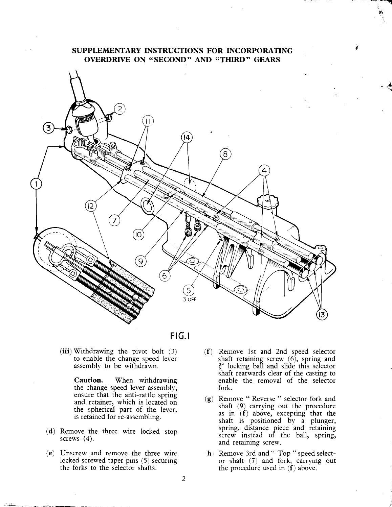#### **SUPPLEMENTARY INSTRUCTIONS FOR INCORPORATING OVERDRIVE ON "SECOND" AND "THIRD" GEARS**



FIG. **<sup>I</sup>**

(iii) Withdrawing the pivot bolt  $(3)$ to enable the change speed lever assembly to be withdrawn.

> **Caution.** When withdrawing the change speed lever assembly, ensure that the anti-rattle spring and retainer, which is located on the spherical part of the lever, is retained for re-assembling.

- **(d)** Remove the three wire locked stop screws (4).
- (e) Unscrew and remove the three wire **h** Remove 3rd and " Top " speed selectthe forks to the selector shafts. the procedure used in  $(f)$  above.
- (f) Remove 1st and 2nd speed selector shaft retaining screw (6), spring and  $\frac{3}{6}$ " locking ball and slide this selector shaft rearwards clear of the casting to enable the removal of the selector fork.
- **(g)** Remove " Reverse " selector fork and shaft (9) carrying out the procedure as in  $(f)$  above, excepting that the shaft is positioned by a plunger, spring, distance piece and retaining screw instead of the ball, spring, and retaining screw.
- locked screwed taper pins (5) securing or shaft (7) and fork, carrying out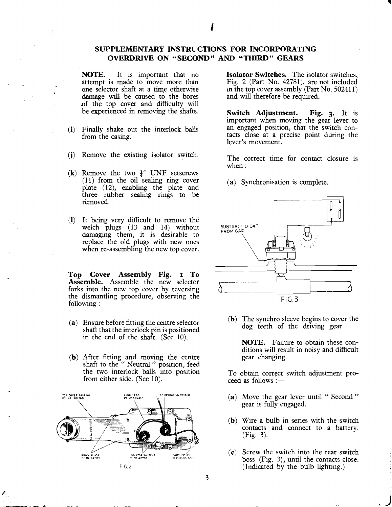#### SUPPLEMENTARY INSTRUCTIONS FOR INCORPORATING OVERDRIVE ON "SECOND" **AND** "THIRD" GEARS

NOTE. It is important that no attempt is made to move more than one selector shaft at a time otherwise damage will be caused to the bores of the top cover and difficulty will be experienced in removing the shafts.

- (i) Finally shake out the interlock balls from the casing.
- (j) Remove the existing isolator switch.
- (k) Remove the two  $\frac{1}{4}$ " UNF setscrews (11) from the oil sealing ring cover plate (12), enabling the plate and three rubber sealing rings to be removed.
- (1) It being very difficult to remove the welch plugs (13 and 14) without damaging them, it is desirable to replace the old plugs with new ones when re-assembling the new top cover.

Top  $Cover$  Assembly--Fig.  $I-To$ Assemble. Assemble the new selector forks into the new top cover by reversing the dismantling procedure, observing the following :

- (a) Ensure before fitting the centre selector shaft that the interlock pin is positioned in the end of the shaft. (See 10).
- **(b)** After fitting and moving the centre shaft to the " Neutral " position, feed the two interlock balls into position from either side. (See 10).



Isolator Switches. The isolator switches, Fig. 2 (Part No. 42781), are not included In the top cover assembly (Part No. 502411) and will therefore be required.

Switch Adjustment. Fig. **3.** It is important when moving the gear lever to an engaged position, that the switch contacts close at a precise point during the lever's movement.

The correct time for contact closure is when  $:=$ 

(a) Synchronisation is complete.



**(b)** The synchro sleeve begins to cover the dog teeth of the driving gear.

NOTE. Failure to obtain these conditions will result in noisy and difficult gear changing.

To obtain correct switch adjustment pro- $\text{ceed as follows}$ :-

- (a) Move the gear lever until "Second" gear is fully engaged.
- (b) Wire a bulb in series with the switch contacts and connect to a battery. (Fig. 3).
- (c) Screw the switch into the rear switch boss  $(Fig. 3)$ , until the contacts close. (Indicated by the bulb lighting.)

3